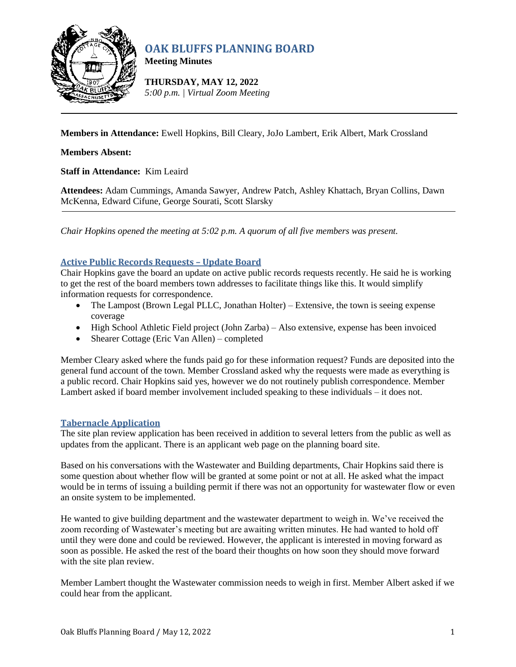

# **OAK BLUFFS PLANNING BOARD**

**Meeting Minutes**

**THURSDAY, MAY 12, 2022** *5:00 p.m. | Virtual Zoom Meeting*

**Members in Attendance:** Ewell Hopkins, Bill Cleary, JoJo Lambert, Erik Albert, Mark Crossland

# **Members Absent:**

**Staff in Attendance:** Kim Leaird

**Attendees:** Adam Cummings, Amanda Sawyer, Andrew Patch, Ashley Khattach, Bryan Collins, Dawn McKenna, Edward Cifune, George Sourati, Scott Slarsky

*Chair Hopkins opened the meeting at 5:02 p.m. A quorum of all five members was present.*

# **Active Public Records Requests – Update Board**

Chair Hopkins gave the board an update on active public records requests recently. He said he is working to get the rest of the board members town addresses to facilitate things like this. It would simplify information requests for correspondence.

- The Lampost (Brown Legal PLLC, Jonathan Holter) Extensive, the town is seeing expense coverage
- High School Athletic Field project (John Zarba) Also extensive, expense has been invoiced
- Shearer Cottage (Eric Van Allen) completed

Member Cleary asked where the funds paid go for these information request? Funds are deposited into the general fund account of the town. Member Crossland asked why the requests were made as everything is a public record. Chair Hopkins said yes, however we do not routinely publish correspondence. Member Lambert asked if board member involvement included speaking to these individuals – it does not.

## **Tabernacle Application**

The site plan review application has been received in addition to several letters from the public as well as updates from the applicant. There is an applicant web page on the planning board site.

Based on his conversations with the Wastewater and Building departments, Chair Hopkins said there is some question about whether flow will be granted at some point or not at all. He asked what the impact would be in terms of issuing a building permit if there was not an opportunity for wastewater flow or even an onsite system to be implemented.

He wanted to give building department and the wastewater department to weigh in. We've received the zoom recording of Wastewater's meeting but are awaiting written minutes. He had wanted to hold off until they were done and could be reviewed. However, the applicant is interested in moving forward as soon as possible. He asked the rest of the board their thoughts on how soon they should move forward with the site plan review.

Member Lambert thought the Wastewater commission needs to weigh in first. Member Albert asked if we could hear from the applicant.